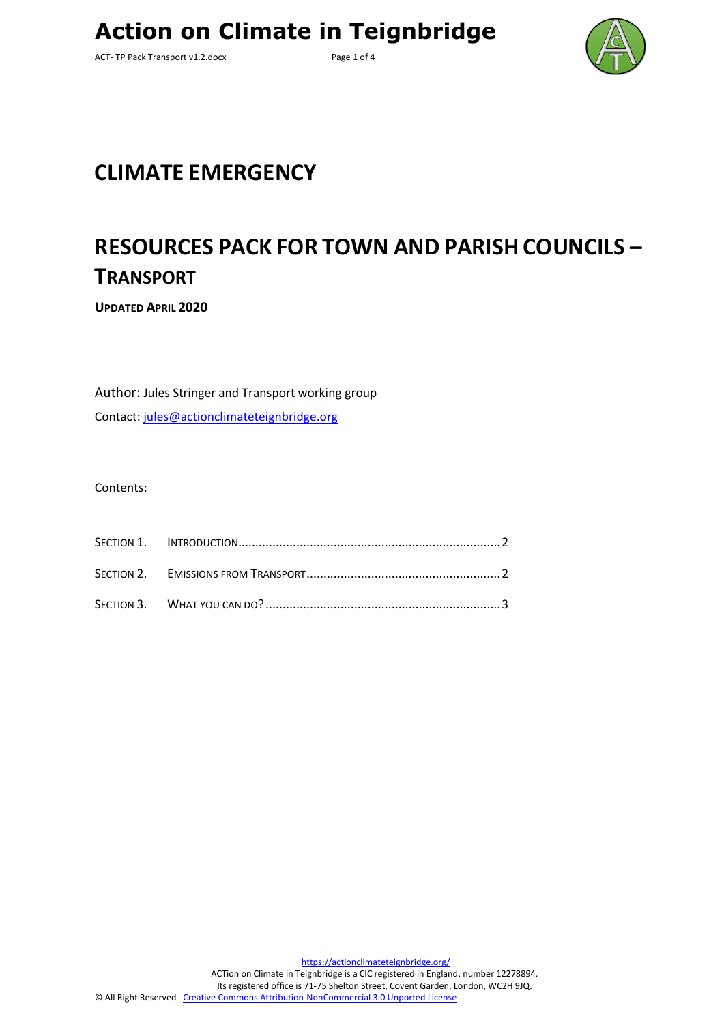ACT- TP Pack Transport v1.2.docx Page 1 of 4



## **CLIMATE EMERGENCY**

# **RESOURCES PACK FOR TOWN AND PARISH COUNCILS – TRANSPORT**

**UPDATED APRIL 2020**

Author: Jules Stringer and Transport working group

Contact: [jules@actionclimateteignbridge.org](mailto:jules@actionclimateteignbridge.org)

Contents: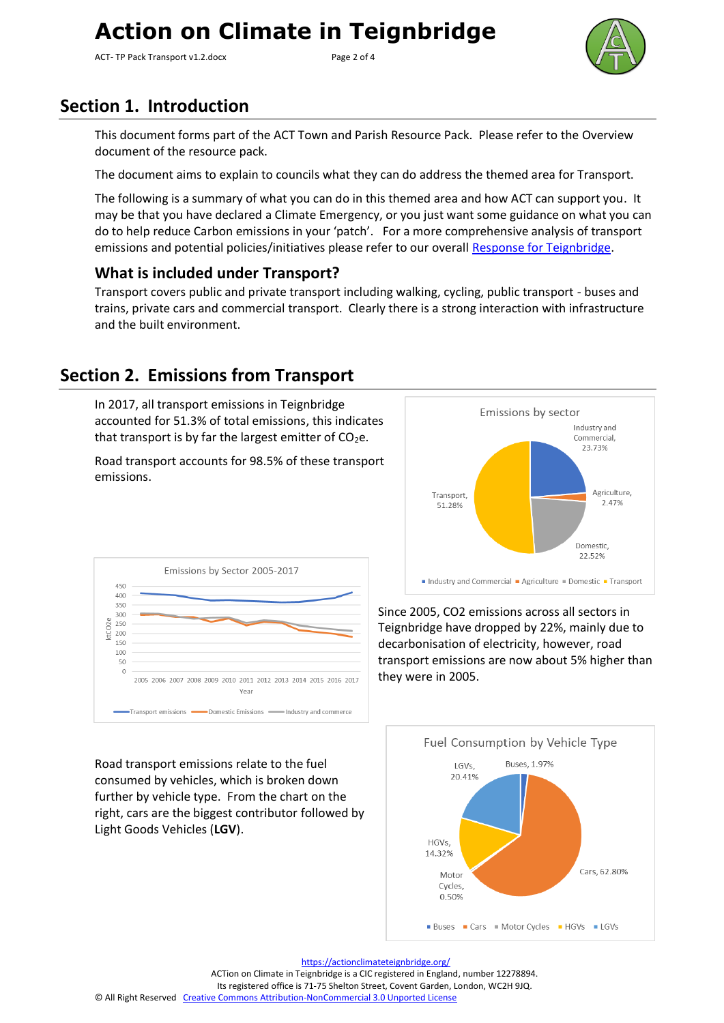## **Action on Climate in Teignbridge**

ACT- TP Pack Transport v1.2.docx Page 2 of 4



### <span id="page-1-0"></span>**Section 1. Introduction**

This document forms part of the ACT Town and Parish Resource Pack. Please refer to the Overview document of the resource pack.

The document aims to explain to councils what they can do address the themed area for Transport.

The following is a summary of what you can do in this themed area and how ACT can support you. It may be that you have declared a Climate Emergency, or you just want some guidance on what you can do to help reduce Carbon emissions in your 'patch'. For a more comprehensive analysis of transport emissions and potential policies/initiatives please refer to our overall [Response for Teignbridge.](https://actionclimateteignbridge.org/wp-content/uploads/2019/11/ACT-Transport-Policies-14-10-19.pdf)

#### **What is included under Transport?**

Transport covers public and private transport including walking, cycling, public transport - buses and trains, private cars and commercial transport. Clearly there is a strong interaction with infrastructure and the built environment.

### <span id="page-1-1"></span>**Section 2. Emissions from Transport**

In 2017, all transport emissions in Teignbridge accounted for 51.3% of total emissions, this indicates that transport is by far the largest emitter of  $CO<sub>2</sub>e$ .

Road transport accounts for 98.5% of these transport emissions.





Since 2005, CO2 emissions across all sectors in Teignbridge have dropped by 22%, mainly due to decarbonisation of electricity, however, road transport emissions are now about 5% higher than they were in 2005.

Road transport emissions relate to the fuel consumed by vehicles, which is broken down further by vehicle type. From the chart on the right, cars are the biggest contributor followed by Light Goods Vehicles (**LGV**).



<https://actionclimateteignbridge.org/>

ACTion on Climate in Teignbridge is a CIC registered in England, number 12278894.

Its registered office is 71-75 Shelton Street, Covent Garden, London, WC2H 9JQ.

© All Right Reserved [Creative Commons Attribution-NonCommercial 3.0 Unported License](http://creativecommons.org/licenses/by-nc/3.0/)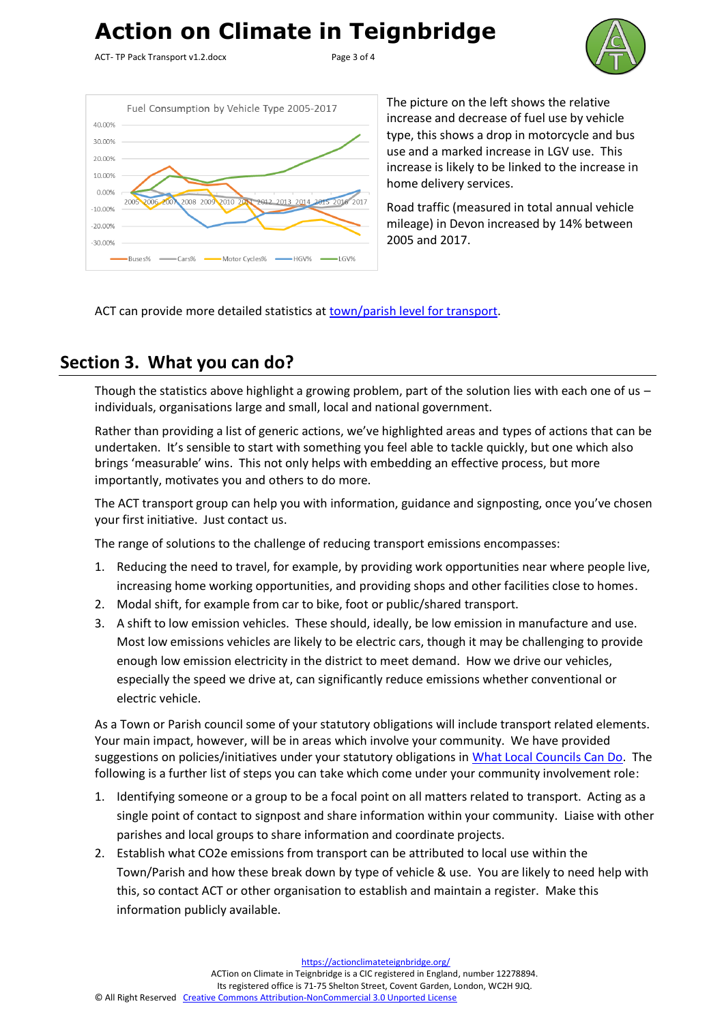## **Action on Climate in Teignbridge**

ACT- TP Pack Transport v1.2.docx Page 3 of 4



The picture on the left shows the relative increase and decrease of fuel use by vehicle type, this shows a drop in motorcycle and bus use and a marked increase in LGV use. This increase is likely to be linked to the increase in home delivery services.

Road traffic (measured in total annual vehicle mileage) in Devon increased by 14% between 2005 and 2017.

ACT can provide more detailed statistics at **town/parish level for transport**.

### <span id="page-2-0"></span>**Section 3. What you can do?**

Though the statistics above highlight a growing problem, part of the solution lies with each one of us – individuals, organisations large and small, local and national government.

Rather than providing a list of generic actions, we've highlighted areas and types of actions that can be undertaken. It's sensible to start with something you feel able to tackle quickly, but one which also brings 'measurable' wins. This not only helps with embedding an effective process, but more importantly, motivates you and others to do more.

The ACT transport group can help you with information, guidance and signposting, once you've chosen your first initiative. Just contact us.

The range of solutions to the challenge of reducing transport emissions encompasses:

- 1. Reducing the need to travel, for example, by providing work opportunities near where people live, increasing home working opportunities, and providing shops and other facilities close to homes.
- 2. Modal shift, for example from car to bike, foot or public/shared transport.
- 3. A shift to low emission vehicles. These should, ideally, be low emission in manufacture and use. Most low emissions vehicles are likely to be electric cars, though it may be challenging to provide enough low emission electricity in the district to meet demand. How we drive our vehicles, especially the speed we drive at, can significantly reduce emissions whether conventional or electric vehicle.

As a Town or Parish council some of your statutory obligations will include transport related elements. Your main impact, however, will be in areas which involve your community. We have provided suggestions on policies/initiatives under your statutory obligations in [What Local Councils Can Do.](https://actionclimateteignbridge.org/wp-content/uploads/2020/03/ACT-TP-Pack-what-can-councils-do-v1.0-1.pdf) The following is a further list of steps you can take which come under your community involvement role:

- 1. Identifying someone or a group to be a focal point on all matters related to transport. Acting as a single point of contact to signpost and share information within your community. Liaise with other parishes and local groups to share information and coordinate projects.
- 2. Establish what CO2e emissions from transport can be attributed to local use within the Town/Parish and how these break down by type of vehicle & use. You are likely to need help with this, so contact ACT or other organisation to establish and maintain a register. Make this information publicly available.

<https://actionclimateteignbridge.org/> ACTion on Climate in Teignbridge is a CIC registered in England, number 12278894. Its registered office is 71-75 Shelton Street, Covent Garden, London, WC2H 9JQ. © All Right Reserved [Creative Commons Attribution-NonCommercial 3.0 Unported License](http://creativecommons.org/licenses/by-nc/3.0/)